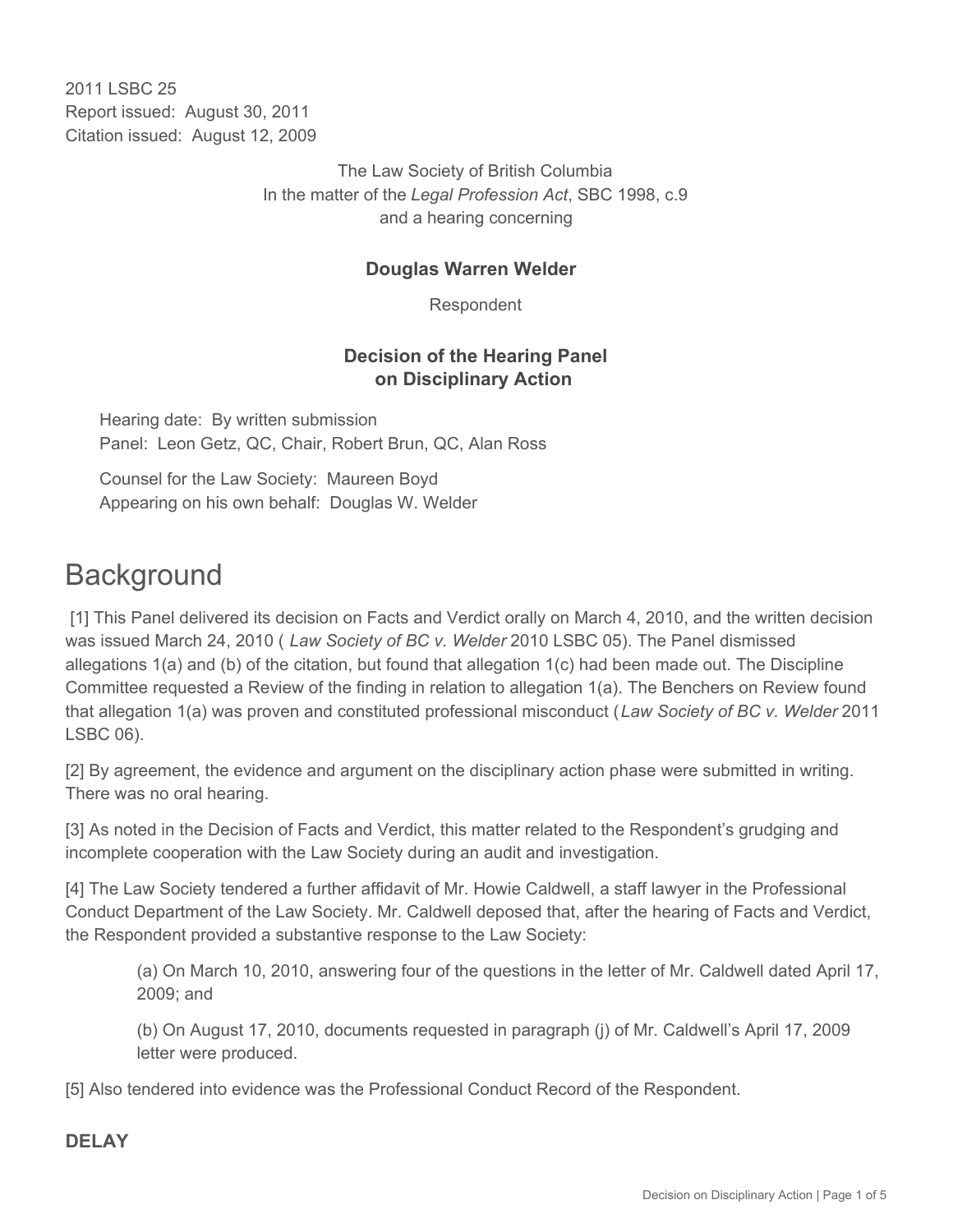2011 I SBC 25 Report issued: August 30, 2011 Citation issued: August 12, 2009

> The Law Society of British Columbia In the matter of the *Legal Profession Act*, SBC 1998, c.9 and a hearing concerning

## **Douglas Warren Welder**

Respondent

### **Decision of the Hearing Panel on Disciplinary Action**

Hearing date: By written submission Panel: Leon Getz, QC, Chair, Robert Brun, QC, Alan Ross

Counsel for the Law Society: Maureen Boyd Appearing on his own behalf: Douglas W. Welder

# **Background**

 [1] This Panel delivered its decision on Facts and Verdict orally on March 4, 2010, and the written decision was issued March 24, 2010 ( *Law Society of BC v. Welder* 2010 LSBC 05). The Panel dismissed allegations 1(a) and (b) of the citation, but found that allegation 1(c) had been made out. The Discipline Committee requested a Review of the finding in relation to allegation 1(a). The Benchers on Review found that allegation 1(a) was proven and constituted professional misconduct (*Law Society of BC v. Welder* 2011 LSBC 06).

[2] By agreement, the evidence and argument on the disciplinary action phase were submitted in writing. There was no oral hearing.

[3] As noted in the Decision of Facts and Verdict, this matter related to the Respondent's grudging and incomplete cooperation with the Law Society during an audit and investigation.

[4] The Law Society tendered a further affidavit of Mr. Howie Caldwell, a staff lawyer in the Professional Conduct Department of the Law Society. Mr. Caldwell deposed that, after the hearing of Facts and Verdict, the Respondent provided a substantive response to the Law Society:

(a) On March 10, 2010, answering four of the questions in the letter of Mr. Caldwell dated April 17, 2009; and

(b) On August 17, 2010, documents requested in paragraph (j) of Mr. Caldwell's April 17, 2009 letter were produced.

[5] Also tendered into evidence was the Professional Conduct Record of the Respondent.

## **DELAY**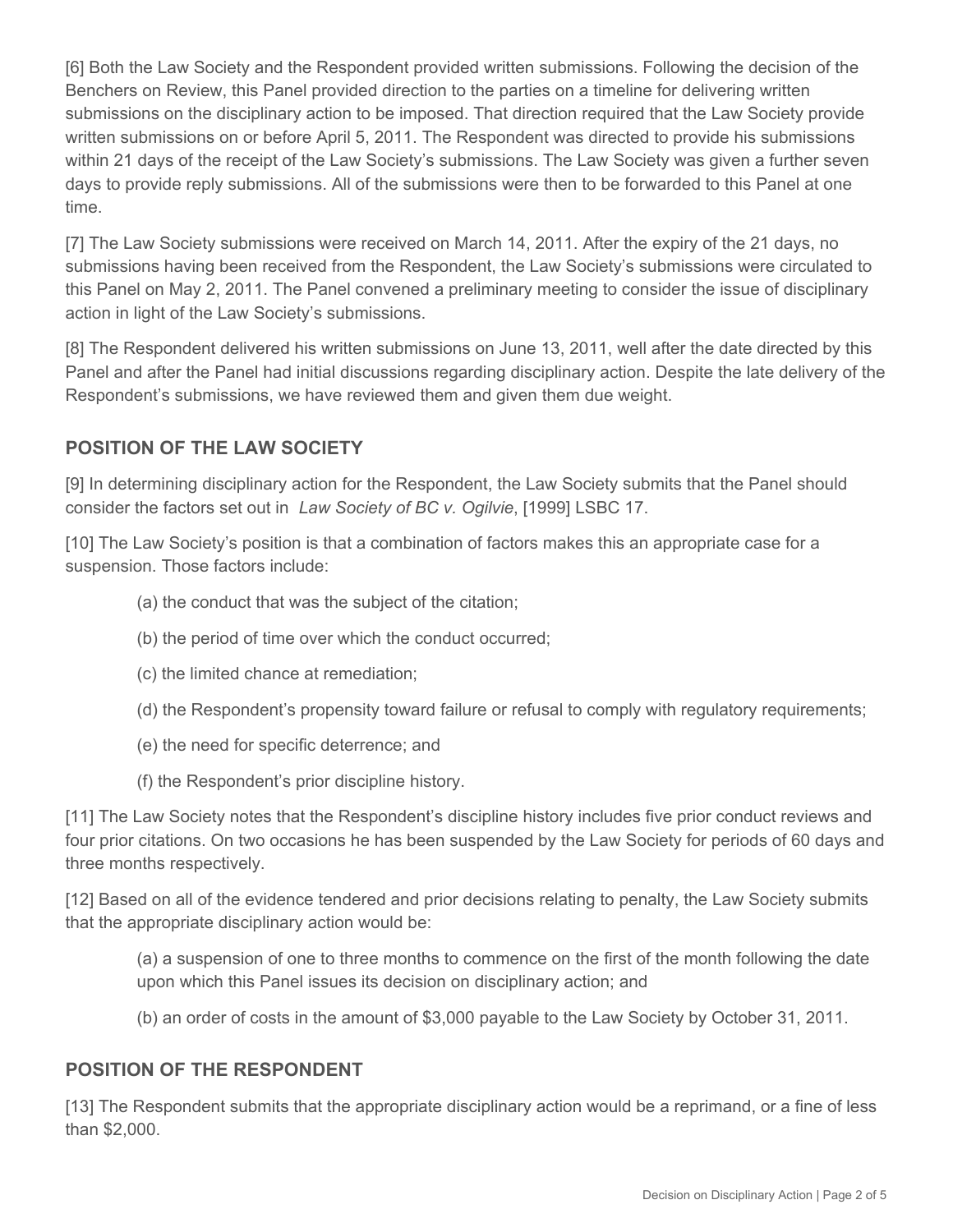[6] Both the Law Society and the Respondent provided written submissions. Following the decision of the Benchers on Review, this Panel provided direction to the parties on a timeline for delivering written submissions on the disciplinary action to be imposed. That direction required that the Law Society provide written submissions on or before April 5, 2011. The Respondent was directed to provide his submissions within 21 days of the receipt of the Law Society's submissions. The Law Society was given a further seven days to provide reply submissions. All of the submissions were then to be forwarded to this Panel at one time.

[7] The Law Society submissions were received on March 14, 2011. After the expiry of the 21 days, no submissions having been received from the Respondent, the Law Society's submissions were circulated to this Panel on May 2, 2011. The Panel convened a preliminary meeting to consider the issue of disciplinary action in light of the Law Society's submissions.

[8] The Respondent delivered his written submissions on June 13, 2011, well after the date directed by this Panel and after the Panel had initial discussions regarding disciplinary action. Despite the late delivery of the Respondent's submissions, we have reviewed them and given them due weight.

## **POSITION OF THE LAW SOCIETY**

[9] In determining disciplinary action for the Respondent, the Law Society submits that the Panel should consider the factors set out in *Law Society of BC v. Ogilvie*, [1999] LSBC 17.

[10] The Law Society's position is that a combination of factors makes this an appropriate case for a suspension. Those factors include:

- (a) the conduct that was the subject of the citation;
- (b) the period of time over which the conduct occurred;
- (c) the limited chance at remediation;
- (d) the Respondent's propensity toward failure or refusal to comply with regulatory requirements;
- (e) the need for specific deterrence; and
- (f) the Respondent's prior discipline history.

[11] The Law Society notes that the Respondent's discipline history includes five prior conduct reviews and four prior citations. On two occasions he has been suspended by the Law Society for periods of 60 days and three months respectively.

[12] Based on all of the evidence tendered and prior decisions relating to penalty, the Law Society submits that the appropriate disciplinary action would be:

(a) a suspension of one to three months to commence on the first of the month following the date upon which this Panel issues its decision on disciplinary action; and

(b) an order of costs in the amount of \$3,000 payable to the Law Society by October 31, 2011.

## **POSITION OF THE RESPONDENT**

[13] The Respondent submits that the appropriate disciplinary action would be a reprimand, or a fine of less than \$2,000.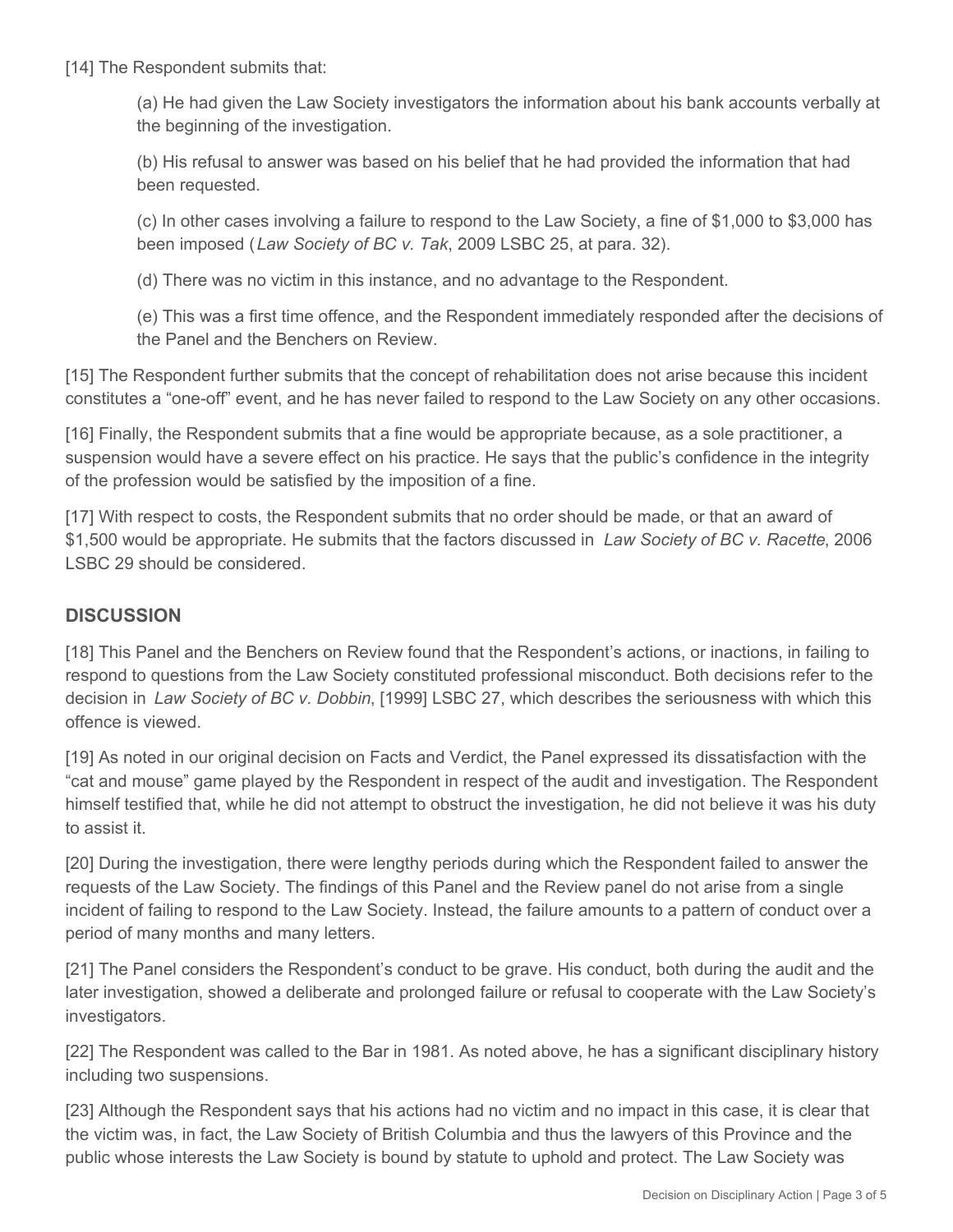[14] The Respondent submits that:

(a) He had given the Law Society investigators the information about his bank accounts verbally at the beginning of the investigation.

(b) His refusal to answer was based on his belief that he had provided the information that had been requested.

(c) In other cases involving a failure to respond to the Law Society, a fine of \$1,000 to \$3,000 has been imposed (*Law Society of BC v. Tak*, 2009 LSBC 25, at para. 32).

(d) There was no victim in this instance, and no advantage to the Respondent.

(e) This was a first time offence, and the Respondent immediately responded after the decisions of the Panel and the Benchers on Review.

[15] The Respondent further submits that the concept of rehabilitation does not arise because this incident constitutes a "one-off" event, and he has never failed to respond to the Law Society on any other occasions.

[16] Finally, the Respondent submits that a fine would be appropriate because, as a sole practitioner, a suspension would have a severe effect on his practice. He says that the public's confidence in the integrity of the profession would be satisfied by the imposition of a fine.

[17] With respect to costs, the Respondent submits that no order should be made, or that an award of \$1,500 would be appropriate. He submits that the factors discussed in *Law Society of BC v. Racette*, 2006 LSBC 29 should be considered.

### **DISCUSSION**

[18] This Panel and the Benchers on Review found that the Respondent's actions, or inactions, in failing to respond to questions from the Law Society constituted professional misconduct. Both decisions refer to the decision in *Law Society of BC v. Dobbin*, [1999] LSBC 27, which describes the seriousness with which this offence is viewed.

[19] As noted in our original decision on Facts and Verdict, the Panel expressed its dissatisfaction with the "cat and mouse" game played by the Respondent in respect of the audit and investigation. The Respondent himself testified that, while he did not attempt to obstruct the investigation, he did not believe it was his duty to assist it.

[20] During the investigation, there were lengthy periods during which the Respondent failed to answer the requests of the Law Society. The findings of this Panel and the Review panel do not arise from a single incident of failing to respond to the Law Society. Instead, the failure amounts to a pattern of conduct over a period of many months and many letters.

[21] The Panel considers the Respondent's conduct to be grave. His conduct, both during the audit and the later investigation, showed a deliberate and prolonged failure or refusal to cooperate with the Law Society's investigators.

[22] The Respondent was called to the Bar in 1981. As noted above, he has a significant disciplinary history including two suspensions.

[23] Although the Respondent says that his actions had no victim and no impact in this case, it is clear that the victim was, in fact, the Law Society of British Columbia and thus the lawyers of this Province and the public whose interests the Law Society is bound by statute to uphold and protect. The Law Society was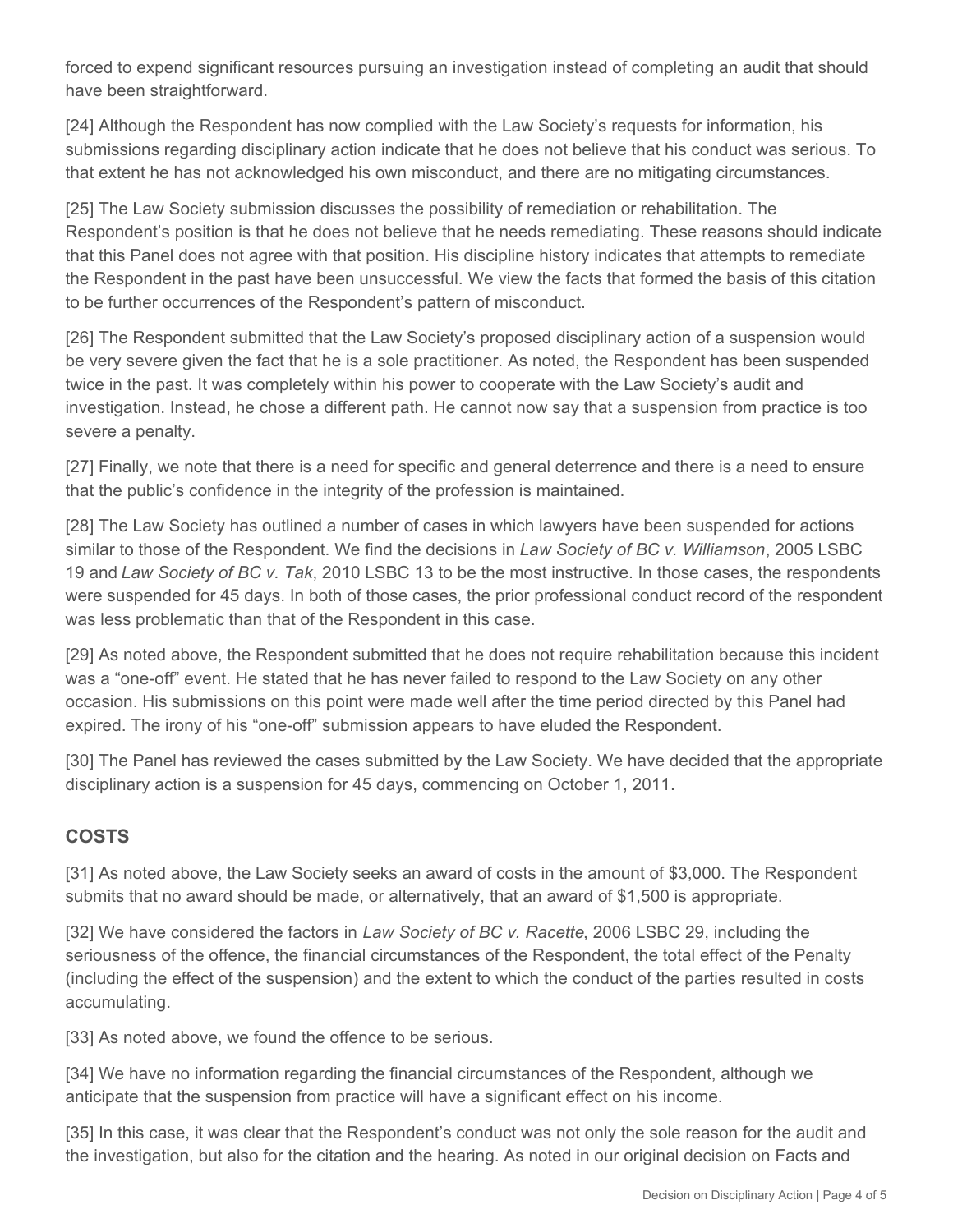forced to expend significant resources pursuing an investigation instead of completing an audit that should have been straightforward.

[24] Although the Respondent has now complied with the Law Society's requests for information, his submissions regarding disciplinary action indicate that he does not believe that his conduct was serious. To that extent he has not acknowledged his own misconduct, and there are no mitigating circumstances.

[25] The Law Society submission discusses the possibility of remediation or rehabilitation. The Respondent's position is that he does not believe that he needs remediating. These reasons should indicate that this Panel does not agree with that position. His discipline history indicates that attempts to remediate the Respondent in the past have been unsuccessful. We view the facts that formed the basis of this citation to be further occurrences of the Respondent's pattern of misconduct.

[26] The Respondent submitted that the Law Society's proposed disciplinary action of a suspension would be very severe given the fact that he is a sole practitioner. As noted, the Respondent has been suspended twice in the past. It was completely within his power to cooperate with the Law Society's audit and investigation. Instead, he chose a different path. He cannot now say that a suspension from practice is too severe a penalty.

[27] Finally, we note that there is a need for specific and general deterrence and there is a need to ensure that the public's confidence in the integrity of the profession is maintained.

[28] The Law Society has outlined a number of cases in which lawyers have been suspended for actions similar to those of the Respondent. We find the decisions in *Law Society of BC v. Williamson*, 2005 LSBC 19 and *Law Society of BC v. Tak*, 2010 LSBC 13 to be the most instructive. In those cases, the respondents were suspended for 45 days. In both of those cases, the prior professional conduct record of the respondent was less problematic than that of the Respondent in this case.

[29] As noted above, the Respondent submitted that he does not require rehabilitation because this incident was a "one-off" event. He stated that he has never failed to respond to the Law Society on any other occasion. His submissions on this point were made well after the time period directed by this Panel had expired. The irony of his "one-off" submission appears to have eluded the Respondent.

[30] The Panel has reviewed the cases submitted by the Law Society. We have decided that the appropriate disciplinary action is a suspension for 45 days, commencing on October 1, 2011.

## **COSTS**

[31] As noted above, the Law Society seeks an award of costs in the amount of \$3,000. The Respondent submits that no award should be made, or alternatively, that an award of \$1,500 is appropriate.

[32] We have considered the factors in *Law Society of BC v. Racette*, 2006 LSBC 29, including the seriousness of the offence, the financial circumstances of the Respondent, the total effect of the Penalty (including the effect of the suspension) and the extent to which the conduct of the parties resulted in costs accumulating.

[33] As noted above, we found the offence to be serious.

[34] We have no information regarding the financial circumstances of the Respondent, although we anticipate that the suspension from practice will have a significant effect on his income.

[35] In this case, it was clear that the Respondent's conduct was not only the sole reason for the audit and the investigation, but also for the citation and the hearing. As noted in our original decision on Facts and